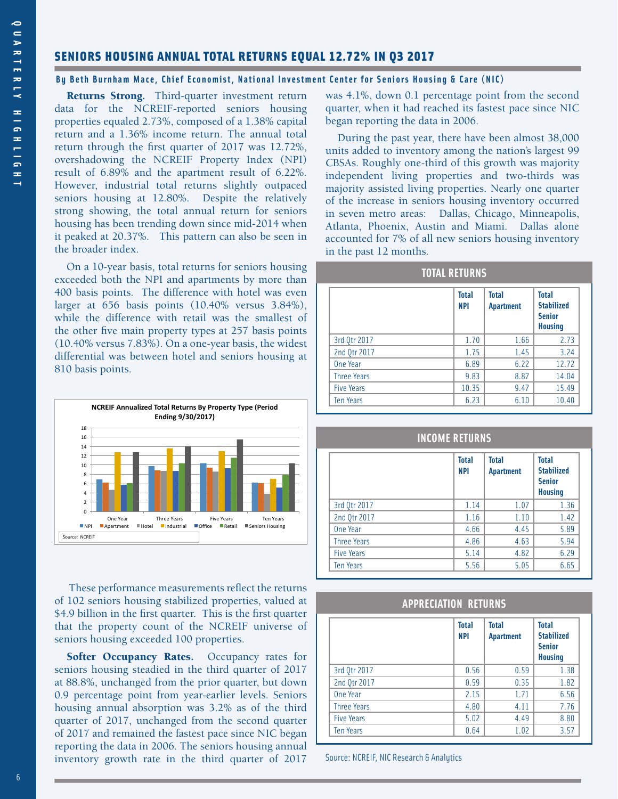# SENIORS HOUSING ANNUAL TOTAL RETURNS EQUAL 12.72% IN Q3 2017

## **By Beth Burnham Mace, Chief Economist, National Investment Center for Seniors Housing & Care (NIC)**

Returns Strong. Third-quarter investment return data for the NCREIF-reported seniors housing properties equaled 2.73%, composed of a 1.38% capital return and a 1.36% income return. The annual total return through the first quarter of 2017 was 12.72%, overshadowing the NCREIF Property Index (NPI) result of 6.89% and the apartment result of 6.22%. However, industrial total returns slightly outpaced seniors housing at 12.80%. Despite the relatively strong showing, the total annual return for seniors housing has been trending down since mid-2014 when it peaked at 20.37%. This pattern can also be seen in the broader index.

On a 10-year basis, total returns for seniors housing exceeded both the NPI and apartments by more than 400 basis points. The difference with hotel was even larger at 656 basis points (10.40% versus 3.84%), while the difference with retail was the smallest of the other five main property types at 257 basis points (10.40% versus 7.83%). On a one-year basis, the widest differential was between hotel and seniors housing at 810 basis points.



 These performance measurements reflect the returns of 102 seniors housing stabilized properties, valued at \$4.9 billion in the first quarter. This is the first quarter that the property count of the NCREIF universe of seniors housing exceeded 100 properties.

Softer Occupancy Rates. Occupancy rates for seniors housing steadied in the third quarter of 2017 at 88.8%, unchanged from the prior quarter, but down 0.9 percentage point from year-earlier levels. Seniors housing annual absorption was 3.2% as of the third quarter of 2017, unchanged from the second quarter of 2017 and remained the fastest pace since NIC began reporting the data in 2006. The seniors housing annual inventory growth rate in the third quarter of 2017

was 4.1%, down 0.1 percentage point from the second quarter, when it had reached its fastest pace since NIC began reporting the data in 2006.

During the past year, there have been almost 38,000 units added to inventory among the nation's largest 99 CBSAs. Roughly one-third of this growth was majority independent living properties and two-thirds was majority assisted living properties. Nearly one quarter of the increase in seniors housing inventory occurred in seven metro areas: Dallas, Chicago, Minneapolis, Atlanta, Phoenix, Austin and Miami. Dallas alone accounted for 7% of all new seniors housing inventory in the past 12 months.

## **TOTAL RETURNS**

|                    | <b>Total</b><br><b>NPI</b> | <b>Total</b><br><b>Apartment</b> | <b>Total</b><br><b>Stabilized</b><br><b>Senior</b><br><b>Housing</b> |
|--------------------|----------------------------|----------------------------------|----------------------------------------------------------------------|
| 3rd Qtr 2017       | 1.70                       | 1.66                             | 2.73                                                                 |
| 2nd Qtr 2017       | 1.75                       | 1.45                             | 3.24                                                                 |
| One Year           | 6.89                       | 6.22                             | 12.72                                                                |
| <b>Three Years</b> | 9.83                       | 8.87                             | 14.04                                                                |
| <b>Five Years</b>  | 10.35                      | 9.47                             | 15.49                                                                |
| <b>Ten Years</b>   | 6.23                       | 6.10                             | 10.40                                                                |

## **INCOME RETURNS**

|                    | <b>Total</b><br><b>NPI</b> | <b>Total</b><br><b>Apartment</b> | <b>Total</b><br><b>Stabilized</b><br><b>Senior</b><br><b>Housing</b> |
|--------------------|----------------------------|----------------------------------|----------------------------------------------------------------------|
| 3rd Qtr 2017       | 1.14                       | 1.07                             | 1.36                                                                 |
| 2nd Qtr 2017       | 1.16                       | 1.10                             | 1.42                                                                 |
| One Year           | 4.66                       | 4.45                             | 5.89                                                                 |
| <b>Three Years</b> | 4.86                       | 4.63                             | 5.94                                                                 |
| <b>Five Years</b>  | 5.14                       | 4.82                             | 6.29                                                                 |
| <b>Ten Years</b>   | 5.56                       | 5.05                             | 6.65                                                                 |

## **APPRECIATION RETURNS**

|                    | <b>Total</b><br><b>NPI</b> | <b>Total</b><br><b>Apartment</b> | <b>Total</b><br><b>Stabilized</b><br><b>Senior</b><br><b>Housing</b> |
|--------------------|----------------------------|----------------------------------|----------------------------------------------------------------------|
| 3rd Qtr 2017       | 0.56                       | 0.59                             | 1.38                                                                 |
| 2nd Qtr 2017       | 0.59                       | 0.35                             | 1.82                                                                 |
| One Year           | 2.15                       | 1.71                             | 6.56                                                                 |
| <b>Three Years</b> | 4.80                       | 4.11                             | 7.76                                                                 |
| <b>Five Years</b>  | 5.02                       | 4.49                             | 8.80                                                                 |
| <b>Ten Years</b>   | 0.64                       | 1.02                             | 3.57                                                                 |

Source: NCREIF, NIC Research & Analytics